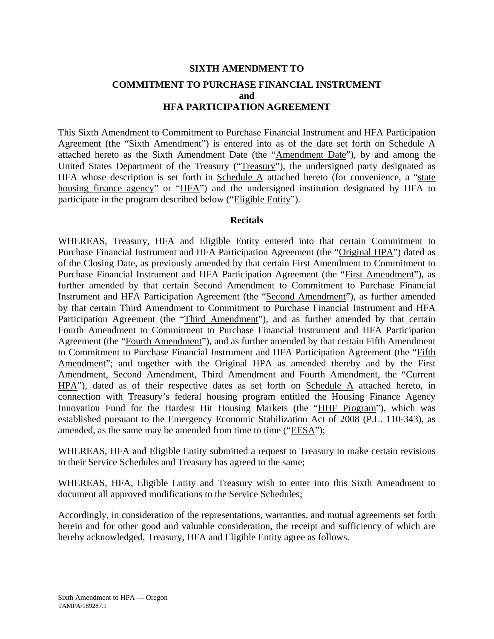## **SIXTH AMENDMENT TO COMMITMENT TO PURCHASE FINANCIAL INSTRUMENT and HFA PARTICIPATION AGREEMENT**

This Sixth Amendment to Commitment to Purchase Financial Instrument and HFA Participation Agreement (the "Sixth Amendment") is entered into as of the date set forth on Schedule A attached hereto as the Sixth Amendment Date (the "Amendment Date"), by and among the United States Department of the Treasury ("Treasury"), the undersigned party designated as HFA whose description is set forth in Schedule  $\overline{A}$  attached hereto (for convenience, a "state housing finance agency" or "HFA") and the undersigned institution designated by HFA to participate in the program described below ("Eligible Entity").

## **Recitals**

WHEREAS, Treasury, HFA and Eligible Entity entered into that certain Commitment to Purchase Financial Instrument and HFA Participation Agreement (the "Original HPA") dated as of the Closing Date, as previously amended by that certain First Amendment to Commitment to Purchase Financial Instrument and HFA Participation Agreement (the "First Amendment"), as further amended by that certain Second Amendment to Commitment to Purchase Financial Instrument and HFA Participation Agreement (the "Second Amendment"), as further amended by that certain Third Amendment to Commitment to Purchase Financial Instrument and HFA Participation Agreement (the "Third Amendment"), and as further amended by that certain Fourth Amendment to Commitment to Purchase Financial Instrument and HFA Participation Agreement (the "Fourth Amendment"), and as further amended by that certain Fifth Amendment to Commitment to Purchase Financial Instrument and HFA Participation Agreement (the "Fifth Amendment"; and together with the Original HPA as amended thereby and by the First Amendment, Second Amendment, Third Amendment and Fourth Amendment, the "Current HPA"), dated as of their respective dates as set forth on Schedule A attached hereto, in connection with Treasury's federal housing program entitled the Housing Finance Agency Innovation Fund for the Hardest Hit Housing Markets (the "HHF Program"), which was established pursuant to the Emergency Economic Stabilization Act of 2008 (P.L. 110-343), as amended, as the same may be amended from time to time ("EESA");

WHEREAS, HFA and Eligible Entity submitted a request to Treasury to make certain revisions to their Service Schedules and Treasury has agreed to the same;

WHEREAS, HFA, Eligible Entity and Treasury wish to enter into this Sixth Amendment to document all approved modifications to the Service Schedules;

Accordingly, in consideration of the representations, warranties, and mutual agreements set forth herein and for other good and valuable consideration, the receipt and sufficiency of which are hereby acknowledged, Treasury, HFA and Eligible Entity agree as follows.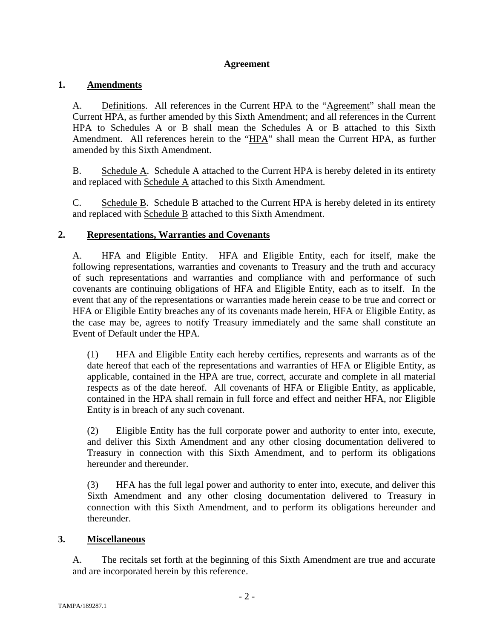## **Agreement**

## **1. Amendments**

A. Definitions. All references in the Current HPA to the "Agreement" shall mean the Current HPA, as further amended by this Sixth Amendment; and all references in the Current HPA to Schedules A or B shall mean the Schedules A or B attached to this Sixth Amendment. All references herein to the "HPA" shall mean the Current HPA, as further amended by this Sixth Amendment.

B. Schedule A. Schedule A attached to the Current HPA is hereby deleted in its entirety and replaced with Schedule A attached to this Sixth Amendment.

C. Schedule B. Schedule B attached to the Current HPA is hereby deleted in its entirety and replaced with Schedule B attached to this Sixth Amendment.

## **2. Representations, Warranties and Covenants**

A. HFA and Eligible Entity. HFA and Eligible Entity, each for itself, make the following representations, warranties and covenants to Treasury and the truth and accuracy of such representations and warranties and compliance with and performance of such covenants are continuing obligations of HFA and Eligible Entity, each as to itself. In the event that any of the representations or warranties made herein cease to be true and correct or HFA or Eligible Entity breaches any of its covenants made herein, HFA or Eligible Entity, as the case may be, agrees to notify Treasury immediately and the same shall constitute an Event of Default under the HPA.

(1) HFA and Eligible Entity each hereby certifies, represents and warrants as of the date hereof that each of the representations and warranties of HFA or Eligible Entity, as applicable, contained in the HPA are true, correct, accurate and complete in all material respects as of the date hereof. All covenants of HFA or Eligible Entity, as applicable, contained in the HPA shall remain in full force and effect and neither HFA, nor Eligible Entity is in breach of any such covenant.

(2) Eligible Entity has the full corporate power and authority to enter into, execute, and deliver this Sixth Amendment and any other closing documentation delivered to Treasury in connection with this Sixth Amendment, and to perform its obligations hereunder and thereunder.

(3) HFA has the full legal power and authority to enter into, execute, and deliver this Sixth Amendment and any other closing documentation delivered to Treasury in connection with this Sixth Amendment, and to perform its obligations hereunder and thereunder.

## **3. Miscellaneous**

A. The recitals set forth at the beginning of this Sixth Amendment are true and accurate and are incorporated herein by this reference.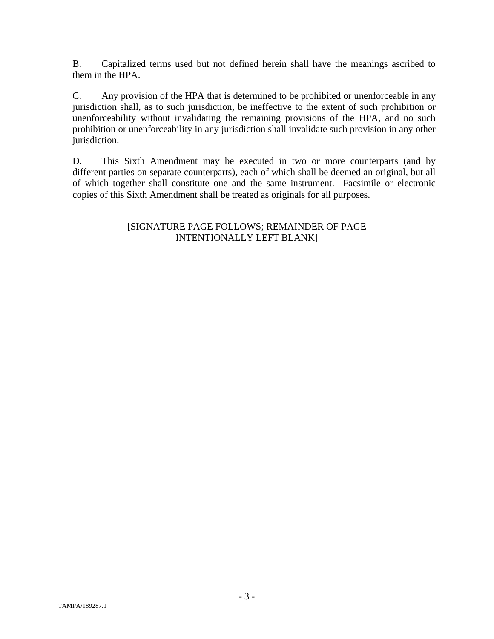B. Capitalized terms used but not defined herein shall have the meanings ascribed to them in the HPA.

C. Any provision of the HPA that is determined to be prohibited or unenforceable in any jurisdiction shall, as to such jurisdiction, be ineffective to the extent of such prohibition or unenforceability without invalidating the remaining provisions of the HPA, and no such prohibition or unenforceability in any jurisdiction shall invalidate such provision in any other jurisdiction.

D. This Sixth Amendment may be executed in two or more counterparts (and by different parties on separate counterparts), each of which shall be deemed an original, but all of which together shall constitute one and the same instrument. Facsimile or electronic copies of this Sixth Amendment shall be treated as originals for all purposes.

## [SIGNATURE PAGE FOLLOWS; REMAINDER OF PAGE INTENTIONALLY LEFT BLANK]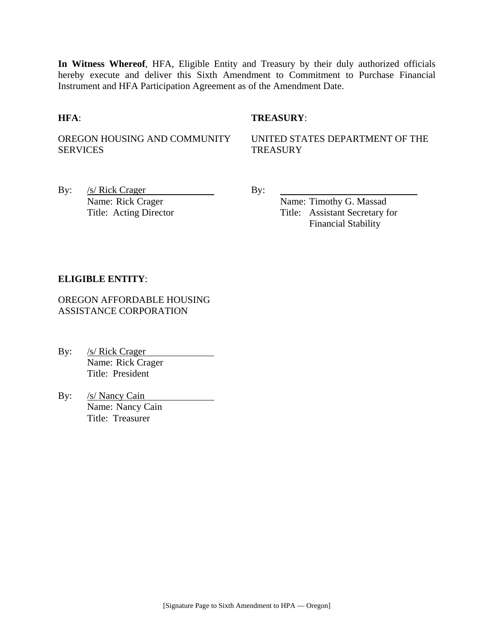**In Witness Whereof**, HFA, Eligible Entity and Treasury by their duly authorized officials hereby execute and deliver this Sixth Amendment to Commitment to Purchase Financial Instrument and HFA Participation Agreement as of the Amendment Date.

## **HFA**: **TREASURY**:

OREGON HOUSING AND COMMUNITY SERVICES

UNITED STATES DEPARTMENT OF THE **TREASURY** 

By:  $/s/Rick Crager$  By: Name: Rick Crager Name: Timothy G. Massad

Title: Acting Director Title: Assistant Secretary for Financial Stability

## **ELIGIBLE ENTITY**:

OREGON AFFORDABLE HOUSING ASSISTANCE CORPORATION

By: /s/ Rick Crager Name: Rick Crager Title: President

By: /s/ Nancy Cain Name: Nancy Cain Title: Treasurer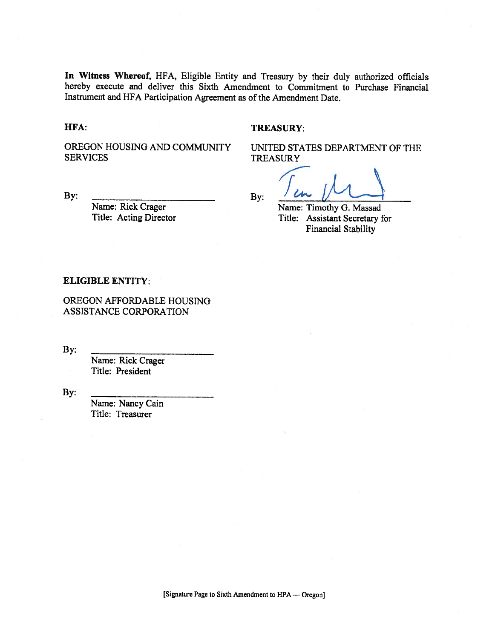In Witness Whereof, HFA, Eligible Entity and Treasury by their duly authorized officials hereby execute and deliver this Sixth Amendment to Commitment to Purchase Financial Instrument and HFA Participation Agreement as of the Amendment Date.

HFA:

By:

#### **TREASURY:**

OREGON HOUSING AND COMMUNITY **SERVICES** 

UNITED STATES DEPARTMENT OF THE **TREASURY** 

 $By:$ 

Name: Timothy G. Massad Title: Assistant Secretary for **Financial Stability** 

### **ELIGIBLE ENTITY:**

OREGON AFFORDABLE HOUSING ASSISTANCE CORPORATION

Name: Rick Crager

Title: Acting Director

By:

Name: Rick Crager Title: President

By:

Name: Nancy Cain Title: Treasurer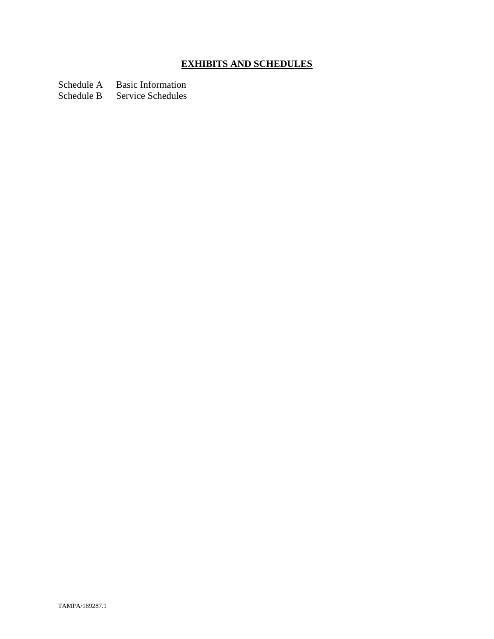# **EXHIBITS AND SCHEDULES**

Schedule A Basic Information

Schedule B Service Schedules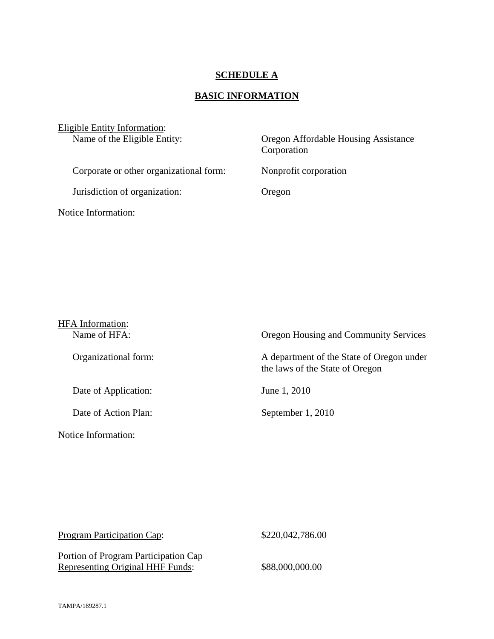## **SCHEDULE A**

# **BASIC INFORMATION**

| Eligible Entity Information:<br>Name of the Eligible Entity: | Oregon Affordable Housing Assistance<br>Corporation |  |
|--------------------------------------------------------------|-----------------------------------------------------|--|
| Corporate or other organizational form:                      | Nonprofit corporation                               |  |
| Jurisdiction of organization:                                | Oregon                                              |  |
| Notice Information:                                          |                                                     |  |

| <b>HFA</b> Information:<br>Name of HFA: | Oregon Housing and Community Services                                        |
|-----------------------------------------|------------------------------------------------------------------------------|
| Organizational form:                    | A department of the State of Oregon under<br>the laws of the State of Oregon |
| Date of Application:                    | June 1, 2010                                                                 |
| Date of Action Plan:                    | September 1, 2010                                                            |
| Notice Information:                     |                                                                              |

| <b>Program Participation Cap:</b>                                        | \$220,042,786.00 |
|--------------------------------------------------------------------------|------------------|
| Portion of Program Participation Cap<br>Representing Original HHF Funds: | \$88,000,000.00  |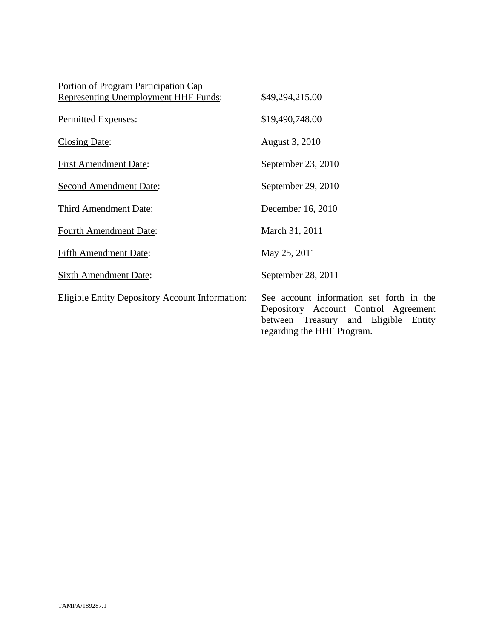| Portion of Program Participation Cap                   |                                                                                                                                   |
|--------------------------------------------------------|-----------------------------------------------------------------------------------------------------------------------------------|
| <b>Representing Unemployment HHF Funds:</b>            | \$49,294,215.00                                                                                                                   |
| Permitted Expenses:                                    | \$19,490,748.00                                                                                                                   |
| <b>Closing Date:</b>                                   | August 3, 2010                                                                                                                    |
| <b>First Amendment Date:</b>                           | September 23, 2010                                                                                                                |
| <b>Second Amendment Date:</b>                          | September 29, 2010                                                                                                                |
| <b>Third Amendment Date:</b>                           | December 16, 2010                                                                                                                 |
| <b>Fourth Amendment Date:</b>                          | March 31, 2011                                                                                                                    |
| <b>Fifth Amendment Date:</b>                           | May 25, 2011                                                                                                                      |
| <b>Sixth Amendment Date:</b>                           | September 28, 2011                                                                                                                |
| <b>Eligible Entity Depository Account Information:</b> | See account information set forth in the<br>Depository Account Control Agreement<br>Eligible<br>between<br>Treasury and<br>Entity |

regarding the HHF Program.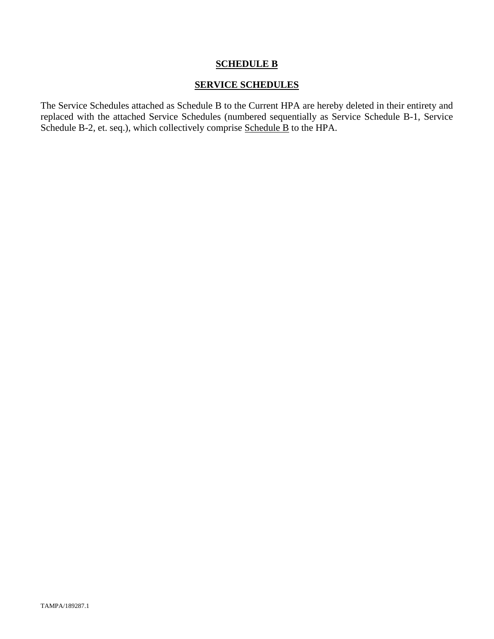## **SCHEDULE B**

## **SERVICE SCHEDULES**

The Service Schedules attached as Schedule B to the Current HPA are hereby deleted in their entirety and replaced with the attached Service Schedules (numbered sequentially as Service Schedule B-1, Service Schedule B-2, et. seq.), which collectively comprise Schedule B to the HPA.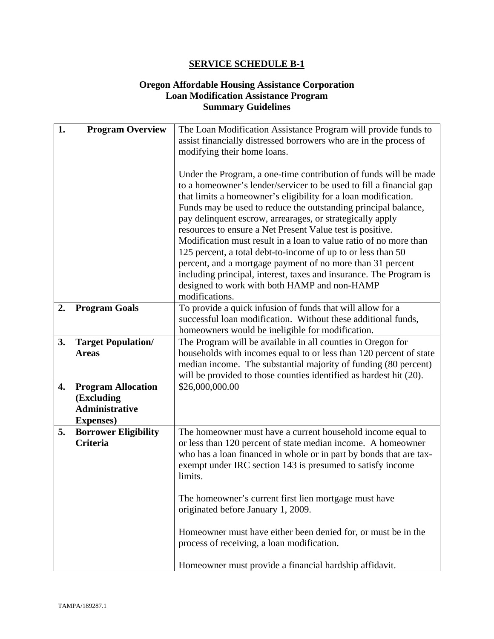## **Oregon Affordable Housing Assistance Corporation Loan Modification Assistance Program Summary Guidelines**

| 1. | <b>Program Overview</b>                                                               | The Loan Modification Assistance Program will provide funds to<br>assist financially distressed borrowers who are in the process of<br>modifying their home loans.                                                                                                                                                                                                                                                                                                                                                                                                                                                                                                                                                                               |
|----|---------------------------------------------------------------------------------------|--------------------------------------------------------------------------------------------------------------------------------------------------------------------------------------------------------------------------------------------------------------------------------------------------------------------------------------------------------------------------------------------------------------------------------------------------------------------------------------------------------------------------------------------------------------------------------------------------------------------------------------------------------------------------------------------------------------------------------------------------|
|    |                                                                                       | Under the Program, a one-time contribution of funds will be made<br>to a homeowner's lender/servicer to be used to fill a financial gap<br>that limits a homeowner's eligibility for a loan modification.<br>Funds may be used to reduce the outstanding principal balance,<br>pay delinquent escrow, arrearages, or strategically apply<br>resources to ensure a Net Present Value test is positive.<br>Modification must result in a loan to value ratio of no more than<br>125 percent, a total debt-to-income of up to or less than 50<br>percent, and a mortgage payment of no more than 31 percent<br>including principal, interest, taxes and insurance. The Program is<br>designed to work with both HAMP and non-HAMP<br>modifications. |
| 2. | <b>Program Goals</b>                                                                  | To provide a quick infusion of funds that will allow for a<br>successful loan modification. Without these additional funds,<br>homeowners would be ineligible for modification.                                                                                                                                                                                                                                                                                                                                                                                                                                                                                                                                                                  |
| 3. | <b>Target Population/</b><br><b>Areas</b>                                             | The Program will be available in all counties in Oregon for<br>households with incomes equal to or less than 120 percent of state<br>median income. The substantial majority of funding (80 percent)<br>will be provided to those counties identified as hardest hit (20).                                                                                                                                                                                                                                                                                                                                                                                                                                                                       |
| 4. | <b>Program Allocation</b><br>(Excluding<br><b>Administrative</b><br><b>Expenses</b> ) | \$26,000,000.00                                                                                                                                                                                                                                                                                                                                                                                                                                                                                                                                                                                                                                                                                                                                  |
| 5. | <b>Borrower Eligibility</b><br><b>Criteria</b>                                        | The homeowner must have a current household income equal to<br>or less than 120 percent of state median income. A homeowner<br>who has a loan financed in whole or in part by bonds that are tax-<br>exempt under IRC section 143 is presumed to satisfy income<br>limits.                                                                                                                                                                                                                                                                                                                                                                                                                                                                       |
|    |                                                                                       | The homeowner's current first lien mortgage must have<br>originated before January 1, 2009.                                                                                                                                                                                                                                                                                                                                                                                                                                                                                                                                                                                                                                                      |
|    |                                                                                       | Homeowner must have either been denied for, or must be in the<br>process of receiving, a loan modification.<br>Homeowner must provide a financial hardship affidavit.                                                                                                                                                                                                                                                                                                                                                                                                                                                                                                                                                                            |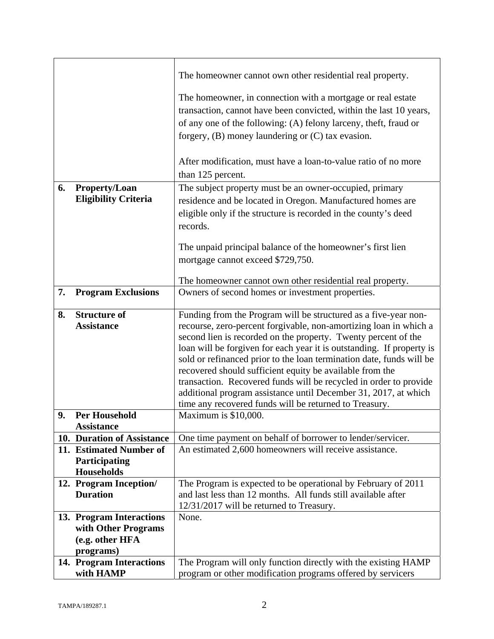|    |                                       | The homeowner cannot own other residential real property.                                                                     |
|----|---------------------------------------|-------------------------------------------------------------------------------------------------------------------------------|
|    |                                       | The homeowner, in connection with a mortgage or real estate                                                                   |
|    |                                       | transaction, cannot have been convicted, within the last 10 years,                                                            |
|    |                                       | of any one of the following: (A) felony larceny, theft, fraud or                                                              |
|    |                                       | forgery, $(B)$ money laundering or $(C)$ tax evasion.                                                                         |
|    |                                       |                                                                                                                               |
|    |                                       | After modification, must have a loan-to-value ratio of no more                                                                |
|    |                                       | than 125 percent.                                                                                                             |
| 6. | <b>Property/Loan</b>                  | The subject property must be an owner-occupied, primary                                                                       |
|    | <b>Eligibility Criteria</b>           | residence and be located in Oregon. Manufactured homes are                                                                    |
|    |                                       | eligible only if the structure is recorded in the county's deed                                                               |
|    |                                       | records.                                                                                                                      |
|    |                                       |                                                                                                                               |
|    |                                       | The unpaid principal balance of the homeowner's first lien                                                                    |
|    |                                       | mortgage cannot exceed \$729,750.                                                                                             |
|    |                                       |                                                                                                                               |
| 7. | <b>Program Exclusions</b>             | The homeowner cannot own other residential real property.<br>Owners of second homes or investment properties.                 |
|    |                                       |                                                                                                                               |
| 8. | <b>Structure of</b>                   | Funding from the Program will be structured as a five-year non-                                                               |
|    | <b>Assistance</b>                     | recourse, zero-percent forgivable, non-amortizing loan in which a                                                             |
|    |                                       | second lien is recorded on the property. Twenty percent of the                                                                |
|    |                                       | loan will be forgiven for each year it is outstanding. If property is                                                         |
|    |                                       | sold or refinanced prior to the loan termination date, funds will be                                                          |
|    |                                       | recovered should sufficient equity be available from the<br>transaction. Recovered funds will be recycled in order to provide |
|    |                                       | additional program assistance until December 31, 2017, at which                                                               |
|    |                                       | time any recovered funds will be returned to Treasury.                                                                        |
| 9. | <b>Per Household</b>                  | Maximum is \$10,000.                                                                                                          |
|    | <b>Assistance</b>                     |                                                                                                                               |
|    | 10. Duration of Assistance            | One time payment on behalf of borrower to lender/servicer.                                                                    |
|    | 11. Estimated Number of               | An estimated 2,600 homeowners will receive assistance.                                                                        |
|    | Participating<br><b>Households</b>    |                                                                                                                               |
|    | 12. Program Inception/                | The Program is expected to be operational by February of 2011                                                                 |
|    | <b>Duration</b>                       | and last less than 12 months. All funds still available after                                                                 |
|    |                                       | 12/31/2017 will be returned to Treasury.                                                                                      |
|    | 13. Program Interactions              | None.                                                                                                                         |
|    | with Other Programs                   |                                                                                                                               |
|    | (e.g. other HFA                       |                                                                                                                               |
|    | programs)                             |                                                                                                                               |
|    | 14. Program Interactions<br>with HAMP | The Program will only function directly with the existing HAMP<br>program or other modification programs offered by servicers |
|    |                                       |                                                                                                                               |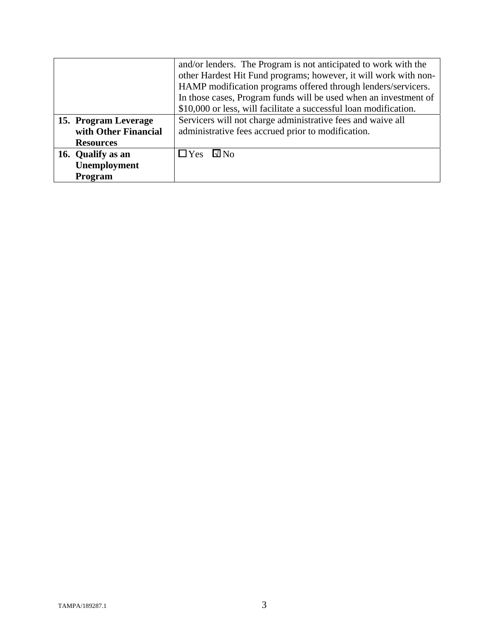|                      | and/or lenders. The Program is not anticipated to work with the   |
|----------------------|-------------------------------------------------------------------|
|                      | other Hardest Hit Fund programs; however, it will work with non-  |
|                      | HAMP modification programs offered through lenders/servicers.     |
|                      | In those cases, Program funds will be used when an investment of  |
|                      | \$10,000 or less, will facilitate a successful loan modification. |
| 15. Program Leverage | Servicers will not charge administrative fees and waive all       |
| with Other Financial | administrative fees accrued prior to modification.                |
| <b>Resources</b>     |                                                                   |
| 16. Qualify as an    | $\square$ No<br>$\Box$ Yes                                        |
| Unemployment         |                                                                   |
| Program              |                                                                   |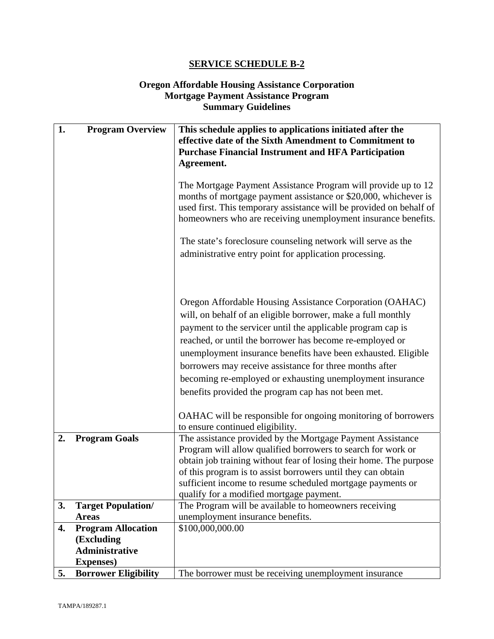## **Oregon Affordable Housing Assistance Corporation Mortgage Payment Assistance Program Summary Guidelines**

| 1. | <b>Program Overview</b>     | This schedule applies to applications initiated after the                                                                                                                                                                                                                |
|----|-----------------------------|--------------------------------------------------------------------------------------------------------------------------------------------------------------------------------------------------------------------------------------------------------------------------|
|    |                             | effective date of the Sixth Amendment to Commitment to                                                                                                                                                                                                                   |
|    |                             | <b>Purchase Financial Instrument and HFA Participation</b><br>Agreement.                                                                                                                                                                                                 |
|    |                             |                                                                                                                                                                                                                                                                          |
|    |                             | The Mortgage Payment Assistance Program will provide up to 12<br>months of mortgage payment assistance or \$20,000, whichever is<br>used first. This temporary assistance will be provided on behalf of<br>homeowners who are receiving unemployment insurance benefits. |
|    |                             | The state's foreclosure counseling network will serve as the                                                                                                                                                                                                             |
|    |                             | administrative entry point for application processing.                                                                                                                                                                                                                   |
|    |                             |                                                                                                                                                                                                                                                                          |
|    |                             |                                                                                                                                                                                                                                                                          |
|    |                             | Oregon Affordable Housing Assistance Corporation (OAHAC)<br>will, on behalf of an eligible borrower, make a full monthly                                                                                                                                                 |
|    |                             | payment to the servicer until the applicable program cap is                                                                                                                                                                                                              |
|    |                             | reached, or until the borrower has become re-employed or                                                                                                                                                                                                                 |
|    |                             | unemployment insurance benefits have been exhausted. Eligible                                                                                                                                                                                                            |
|    |                             | borrowers may receive assistance for three months after                                                                                                                                                                                                                  |
|    |                             | becoming re-employed or exhausting unemployment insurance                                                                                                                                                                                                                |
|    |                             | benefits provided the program cap has not been met.                                                                                                                                                                                                                      |
|    |                             |                                                                                                                                                                                                                                                                          |
|    |                             | OAHAC will be responsible for ongoing monitoring of borrowers                                                                                                                                                                                                            |
|    |                             | to ensure continued eligibility.                                                                                                                                                                                                                                         |
| 2. | <b>Program Goals</b>        | The assistance provided by the Mortgage Payment Assistance                                                                                                                                                                                                               |
|    |                             | Program will allow qualified borrowers to search for work or<br>obtain job training without fear of losing their home. The purpose                                                                                                                                       |
|    |                             | of this program is to assist borrowers until they can obtain                                                                                                                                                                                                             |
|    |                             | sufficient income to resume scheduled mortgage payments or                                                                                                                                                                                                               |
|    |                             | qualify for a modified mortgage payment.                                                                                                                                                                                                                                 |
| 3. | <b>Target Population/</b>   | The Program will be available to homeowners receiving                                                                                                                                                                                                                    |
|    | <b>Areas</b>                | unemployment insurance benefits.                                                                                                                                                                                                                                         |
| 4. | <b>Program Allocation</b>   | \$100,000,000.00                                                                                                                                                                                                                                                         |
|    | (Excluding                  |                                                                                                                                                                                                                                                                          |
|    | <b>Administrative</b>       |                                                                                                                                                                                                                                                                          |
|    | <b>Expenses</b> )           |                                                                                                                                                                                                                                                                          |
| 5. | <b>Borrower Eligibility</b> | The borrower must be receiving unemployment insurance                                                                                                                                                                                                                    |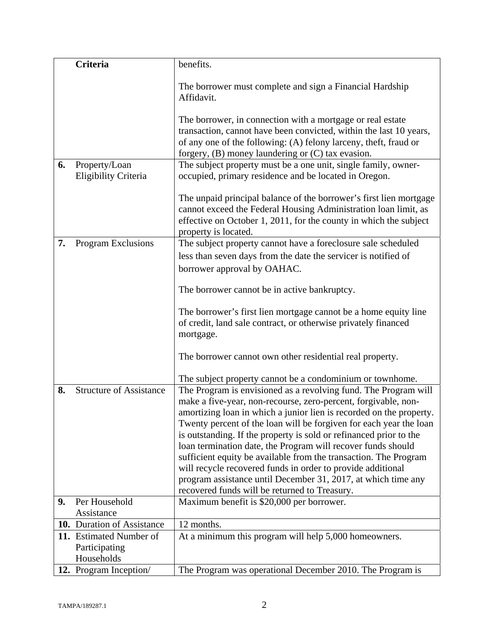|    | <b>Criteria</b>                          | benefits.                                                                                                                                                                                                                          |
|----|------------------------------------------|------------------------------------------------------------------------------------------------------------------------------------------------------------------------------------------------------------------------------------|
|    |                                          | The borrower must complete and sign a Financial Hardship                                                                                                                                                                           |
|    |                                          | Affidavit.                                                                                                                                                                                                                         |
|    |                                          | The borrower, in connection with a mortgage or real estate                                                                                                                                                                         |
|    |                                          | transaction, cannot have been convicted, within the last 10 years,                                                                                                                                                                 |
|    |                                          | of any one of the following: (A) felony larceny, theft, fraud or<br>forgery, $(B)$ money laundering or $(C)$ tax evasion.                                                                                                          |
| 6. | Property/Loan                            | The subject property must be a one unit, single family, owner-                                                                                                                                                                     |
|    | Eligibility Criteria                     | occupied, primary residence and be located in Oregon.                                                                                                                                                                              |
|    |                                          | The unpaid principal balance of the borrower's first lien mortgage<br>cannot exceed the Federal Housing Administration loan limit, as<br>effective on October 1, 2011, for the county in which the subject<br>property is located. |
| 7. | Program Exclusions                       | The subject property cannot have a foreclosure sale scheduled                                                                                                                                                                      |
|    |                                          | less than seven days from the date the servicer is notified of                                                                                                                                                                     |
|    |                                          | borrower approval by OAHAC.                                                                                                                                                                                                        |
|    |                                          |                                                                                                                                                                                                                                    |
|    |                                          | The borrower cannot be in active bankruptcy.                                                                                                                                                                                       |
|    |                                          | The borrower's first lien mortgage cannot be a home equity line                                                                                                                                                                    |
|    |                                          | of credit, land sale contract, or otherwise privately financed                                                                                                                                                                     |
|    |                                          | mortgage.                                                                                                                                                                                                                          |
|    |                                          | The borrower cannot own other residential real property.                                                                                                                                                                           |
|    |                                          | The subject property cannot be a condominium or townhome.                                                                                                                                                                          |
| 8. | <b>Structure of Assistance</b>           | The Program is envisioned as a revolving fund. The Program will                                                                                                                                                                    |
|    |                                          | make a five-year, non-recourse, zero-percent, forgivable, non-                                                                                                                                                                     |
|    |                                          | amortizing loan in which a junior lien is recorded on the property.                                                                                                                                                                |
|    |                                          | Twenty percent of the loan will be forgiven for each year the loan                                                                                                                                                                 |
|    |                                          | is outstanding. If the property is sold or refinanced prior to the<br>loan termination date, the Program will recover funds should                                                                                                 |
|    |                                          | sufficient equity be available from the transaction. The Program                                                                                                                                                                   |
|    |                                          | will recycle recovered funds in order to provide additional                                                                                                                                                                        |
|    |                                          | program assistance until December 31, 2017, at which time any                                                                                                                                                                      |
|    |                                          | recovered funds will be returned to Treasury.                                                                                                                                                                                      |
| 9. | Per Household                            | Maximum benefit is \$20,000 per borrower.                                                                                                                                                                                          |
|    | Assistance<br>10. Duration of Assistance |                                                                                                                                                                                                                                    |
|    | 11. Estimated Number of                  | 12 months.<br>At a minimum this program will help 5,000 homeowners.                                                                                                                                                                |
|    | Participating                            |                                                                                                                                                                                                                                    |
|    | Households                               |                                                                                                                                                                                                                                    |
|    | 12. Program Inception/                   | The Program was operational December 2010. The Program is                                                                                                                                                                          |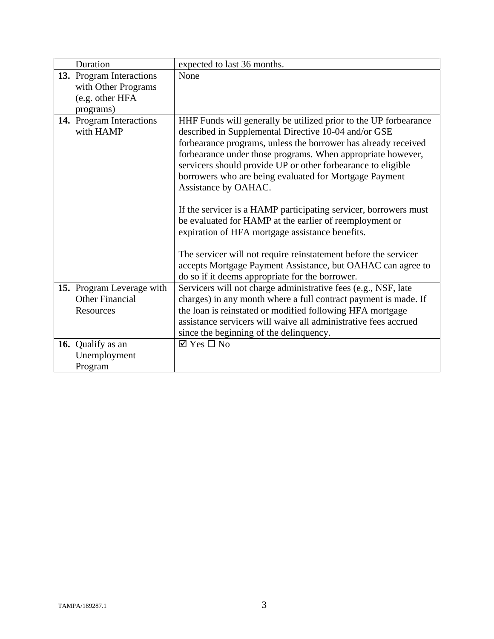| Duration                                                                        | expected to last 36 months.                                                                                                                                                                                                                                                                                                                                                                                                                                                                                                                                                                                                                                                                                                                                                        |
|---------------------------------------------------------------------------------|------------------------------------------------------------------------------------------------------------------------------------------------------------------------------------------------------------------------------------------------------------------------------------------------------------------------------------------------------------------------------------------------------------------------------------------------------------------------------------------------------------------------------------------------------------------------------------------------------------------------------------------------------------------------------------------------------------------------------------------------------------------------------------|
| 13. Program Interactions<br>with Other Programs<br>(e.g. other HFA<br>programs) | None                                                                                                                                                                                                                                                                                                                                                                                                                                                                                                                                                                                                                                                                                                                                                                               |
| 14. Program Interactions<br>with HAMP                                           | HHF Funds will generally be utilized prior to the UP forbearance<br>described in Supplemental Directive 10-04 and/or GSE<br>forbearance programs, unless the borrower has already received<br>forbearance under those programs. When appropriate however,<br>servicers should provide UP or other forbearance to eligible<br>borrowers who are being evaluated for Mortgage Payment<br>Assistance by OAHAC.<br>If the servicer is a HAMP participating servicer, borrowers must<br>be evaluated for HAMP at the earlier of reemployment or<br>expiration of HFA mortgage assistance benefits.<br>The servicer will not require reinstatement before the servicer<br>accepts Mortgage Payment Assistance, but OAHAC can agree to<br>do so if it deems appropriate for the borrower. |
| 15. Program Leverage with<br><b>Other Financial</b><br>Resources                | Servicers will not charge administrative fees (e.g., NSF, late<br>charges) in any month where a full contract payment is made. If<br>the loan is reinstated or modified following HFA mortgage<br>assistance servicers will waive all administrative fees accrued<br>since the beginning of the delinquency.                                                                                                                                                                                                                                                                                                                                                                                                                                                                       |
| 16. Qualify as an<br>Unemployment<br>Program                                    | $\boxtimes$ Yes $\Box$ No                                                                                                                                                                                                                                                                                                                                                                                                                                                                                                                                                                                                                                                                                                                                                          |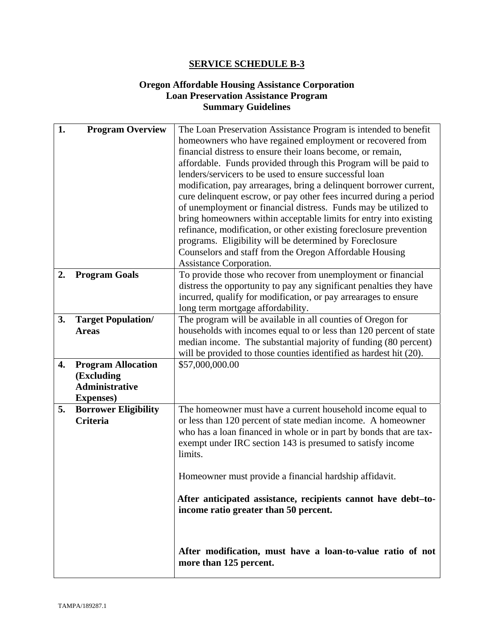## **Oregon Affordable Housing Assistance Corporation Loan Preservation Assistance Program Summary Guidelines**

| 1. | <b>Program Overview</b>     | The Loan Preservation Assistance Program is intended to benefit     |
|----|-----------------------------|---------------------------------------------------------------------|
|    |                             | homeowners who have regained employment or recovered from           |
|    |                             | financial distress to ensure their loans become, or remain,         |
|    |                             | affordable. Funds provided through this Program will be paid to     |
|    |                             | lenders/servicers to be used to ensure successful loan              |
|    |                             | modification, pay arrearages, bring a delinquent borrower current,  |
|    |                             | cure delinquent escrow, or pay other fees incurred during a period  |
|    |                             | of unemployment or financial distress. Funds may be utilized to     |
|    |                             | bring homeowners within acceptable limits for entry into existing   |
|    |                             | refinance, modification, or other existing foreclosure prevention   |
|    |                             | programs. Eligibility will be determined by Foreclosure             |
|    |                             | Counselors and staff from the Oregon Affordable Housing             |
|    |                             | Assistance Corporation.                                             |
| 2. | <b>Program Goals</b>        | To provide those who recover from unemployment or financial         |
|    |                             | distress the opportunity to pay any significant penalties they have |
|    |                             | incurred, qualify for modification, or pay arrearages to ensure     |
|    |                             | long term mortgage affordability.                                   |
| 3. | <b>Target Population/</b>   | The program will be available in all counties of Oregon for         |
|    | <b>Areas</b>                | households with incomes equal to or less than 120 percent of state  |
|    |                             | median income. The substantial majority of funding (80 percent)     |
|    |                             | will be provided to those counties identified as hardest hit (20).  |
| 4. | <b>Program Allocation</b>   | \$57,000,000.00                                                     |
|    | (Excluding                  |                                                                     |
|    | Administrative              |                                                                     |
|    | <b>Expenses</b> )           |                                                                     |
| 5. | <b>Borrower Eligibility</b> | The homeowner must have a current household income equal to         |
|    | <b>Criteria</b>             | or less than 120 percent of state median income. A homeowner        |
|    |                             | who has a loan financed in whole or in part by bonds that are tax-  |
|    |                             | exempt under IRC section 143 is presumed to satisfy income          |
|    |                             | limits.                                                             |
|    |                             |                                                                     |
|    |                             | Homeowner must provide a financial hardship affidavit.              |
|    |                             |                                                                     |
|    |                             | After anticipated assistance, recipients cannot have debt-to-       |
|    |                             | income ratio greater than 50 percent.                               |
|    |                             |                                                                     |
|    |                             |                                                                     |
|    |                             | After modification, must have a loan-to-value ratio of not          |
|    |                             | more than 125 percent.                                              |
|    |                             |                                                                     |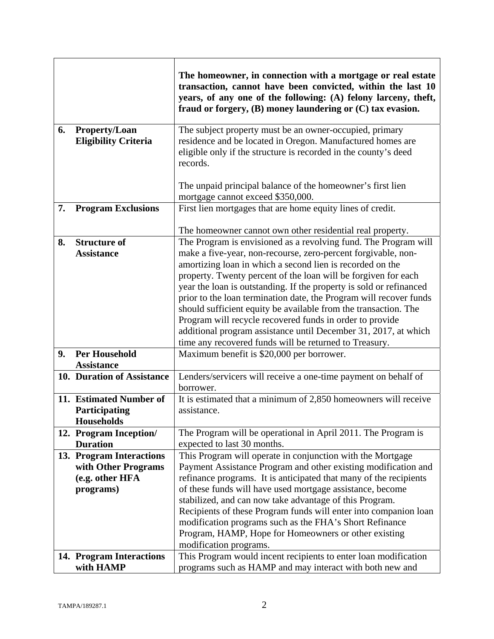|    |                                              | The homeowner, in connection with a mortgage or real estate<br>transaction, cannot have been convicted, within the last 10<br>years, of any one of the following: (A) felony larceny, theft,<br>fraud or forgery, $(B)$ money laundering or $(C)$ tax evasion. |
|----|----------------------------------------------|----------------------------------------------------------------------------------------------------------------------------------------------------------------------------------------------------------------------------------------------------------------|
| 6. | Property/Loan<br><b>Eligibility Criteria</b> | The subject property must be an owner-occupied, primary<br>residence and be located in Oregon. Manufactured homes are<br>eligible only if the structure is recorded in the county's deed<br>records.                                                           |
|    |                                              | The unpaid principal balance of the homeowner's first lien<br>mortgage cannot exceed \$350,000.                                                                                                                                                                |
| 7. | <b>Program Exclusions</b>                    | First lien mortgages that are home equity lines of credit.                                                                                                                                                                                                     |
|    |                                              | The homeowner cannot own other residential real property.                                                                                                                                                                                                      |
| 8. | <b>Structure of</b><br><b>Assistance</b>     | The Program is envisioned as a revolving fund. The Program will<br>make a five-year, non-recourse, zero-percent forgivable, non-                                                                                                                               |
|    |                                              | amortizing loan in which a second lien is recorded on the                                                                                                                                                                                                      |
|    |                                              | property. Twenty percent of the loan will be forgiven for each                                                                                                                                                                                                 |
|    |                                              | year the loan is outstanding. If the property is sold or refinanced<br>prior to the loan termination date, the Program will recover funds                                                                                                                      |
|    |                                              | should sufficient equity be available from the transaction. The                                                                                                                                                                                                |
|    |                                              | Program will recycle recovered funds in order to provide                                                                                                                                                                                                       |
|    |                                              | additional program assistance until December 31, 2017, at which                                                                                                                                                                                                |
|    |                                              | time any recovered funds will be returned to Treasury.                                                                                                                                                                                                         |
| 9. | <b>Per Household</b>                         | Maximum benefit is \$20,000 per borrower.                                                                                                                                                                                                                      |
|    | <b>Assistance</b>                            |                                                                                                                                                                                                                                                                |
|    | 10. Duration of Assistance                   | Lenders/servicers will receive a one-time payment on behalf of<br>borrower.                                                                                                                                                                                    |
|    | 11. Estimated Number of                      | It is estimated that a minimum of 2,850 homeowners will receive                                                                                                                                                                                                |
|    | Participating                                | assistance.                                                                                                                                                                                                                                                    |
|    | <b>Households</b>                            |                                                                                                                                                                                                                                                                |
|    | 12. Program Inception/<br><b>Duration</b>    | The Program will be operational in April 2011. The Program is<br>expected to last 30 months.                                                                                                                                                                   |
|    | 13. Program Interactions                     | This Program will operate in conjunction with the Mortgage                                                                                                                                                                                                     |
|    | with Other Programs                          | Payment Assistance Program and other existing modification and                                                                                                                                                                                                 |
|    | (e.g. other HFA                              | refinance programs. It is anticipated that many of the recipients                                                                                                                                                                                              |
|    | programs)                                    | of these funds will have used mortgage assistance, become                                                                                                                                                                                                      |
|    |                                              | stabilized, and can now take advantage of this Program.                                                                                                                                                                                                        |
|    |                                              | Recipients of these Program funds will enter into companion loan<br>modification programs such as the FHA's Short Refinance                                                                                                                                    |
|    |                                              | Program, HAMP, Hope for Homeowners or other existing                                                                                                                                                                                                           |
|    |                                              | modification programs.                                                                                                                                                                                                                                         |
|    | 14. Program Interactions                     | This Program would incent recipients to enter loan modification                                                                                                                                                                                                |
|    | with HAMP                                    | programs such as HAMP and may interact with both new and                                                                                                                                                                                                       |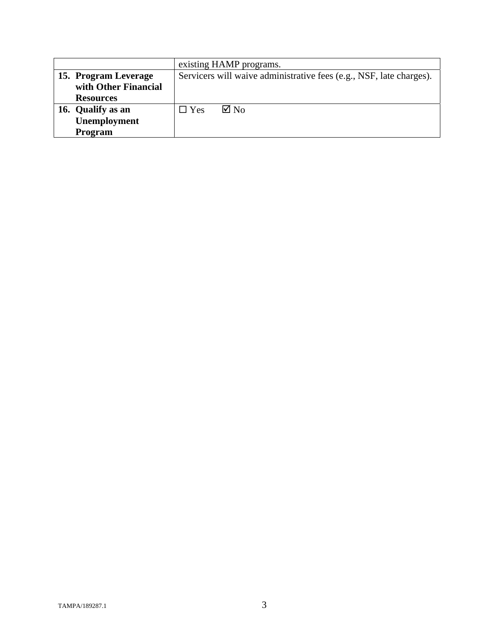|                      | existing HAMP programs.                                             |
|----------------------|---------------------------------------------------------------------|
| 15. Program Leverage | Servicers will waive administrative fees (e.g., NSF, late charges). |
| with Other Financial |                                                                     |
| <b>Resources</b>     |                                                                     |
| 16. Qualify as an    | $\boxtimes$ No<br>$\square$ Yes                                     |
| Unemployment         |                                                                     |
| <b>Program</b>       |                                                                     |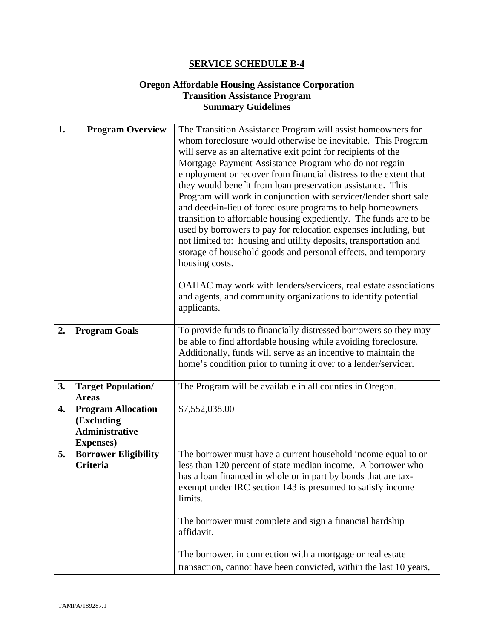## **Oregon Affordable Housing Assistance Corporation Transition Assistance Program Summary Guidelines**

| 1. | <b>Program Overview</b>                        | The Transition Assistance Program will assist homeowners for<br>whom foreclosure would otherwise be inevitable. This Program      |
|----|------------------------------------------------|-----------------------------------------------------------------------------------------------------------------------------------|
|    |                                                | will serve as an alternative exit point for recipients of the                                                                     |
|    |                                                | Mortgage Payment Assistance Program who do not regain                                                                             |
|    |                                                | employment or recover from financial distress to the extent that                                                                  |
|    |                                                | they would benefit from loan preservation assistance. This                                                                        |
|    |                                                | Program will work in conjunction with servicer/lender short sale<br>and deed-in-lieu of foreclosure programs to help homeowners   |
|    |                                                | transition to affordable housing expediently. The funds are to be                                                                 |
|    |                                                | used by borrowers to pay for relocation expenses including, but                                                                   |
|    |                                                | not limited to: housing and utility deposits, transportation and                                                                  |
|    |                                                | storage of household goods and personal effects, and temporary<br>housing costs.                                                  |
|    |                                                |                                                                                                                                   |
|    |                                                | OAHAC may work with lenders/servicers, real estate associations                                                                   |
|    |                                                | and agents, and community organizations to identify potential                                                                     |
|    |                                                | applicants.                                                                                                                       |
| 2. | <b>Program Goals</b>                           | To provide funds to financially distressed borrowers so they may                                                                  |
|    |                                                | be able to find affordable housing while avoiding foreclosure.                                                                    |
|    |                                                | Additionally, funds will serve as an incentive to maintain the<br>home's condition prior to turning it over to a lender/servicer. |
|    |                                                |                                                                                                                                   |
| 3. | <b>Target Population/</b>                      | The Program will be available in all counties in Oregon.                                                                          |
| 4. | <b>Areas</b><br><b>Program Allocation</b>      | \$7,552,038.00                                                                                                                    |
|    | (Excluding                                     |                                                                                                                                   |
|    | <b>Administrative</b>                          |                                                                                                                                   |
|    | <b>Expenses</b> )                              |                                                                                                                                   |
| 5. | <b>Borrower Eligibility</b><br><b>Criteria</b> | The borrower must have a current household income equal to or<br>less than 120 percent of state median income. A borrower who     |
|    |                                                | has a loan financed in whole or in part by bonds that are tax-                                                                    |
|    |                                                | exempt under IRC section 143 is presumed to satisfy income                                                                        |
|    |                                                | limits.                                                                                                                           |
|    |                                                | The borrower must complete and sign a financial hardship                                                                          |
|    |                                                | affidavit.                                                                                                                        |
|    |                                                | The borrower, in connection with a mortgage or real estate                                                                        |
|    |                                                | transaction, cannot have been convicted, within the last 10 years,                                                                |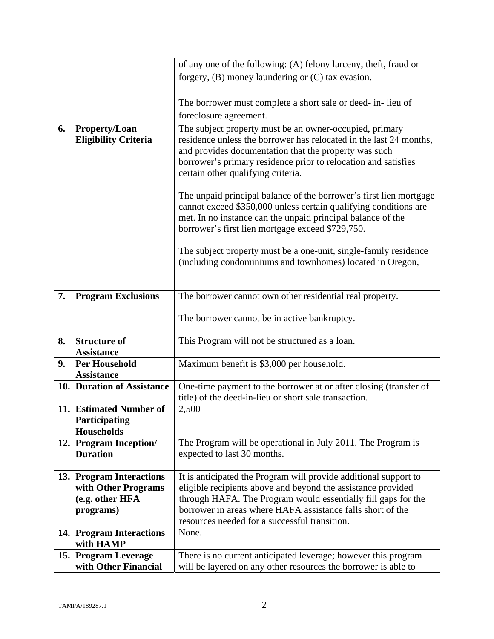|    |                                                               | of any one of the following: (A) felony larceny, theft, fraud or                                                                                                                                                                                          |
|----|---------------------------------------------------------------|-----------------------------------------------------------------------------------------------------------------------------------------------------------------------------------------------------------------------------------------------------------|
|    |                                                               | forgery, $(B)$ money laundering or $(C)$ tax evasion.                                                                                                                                                                                                     |
|    |                                                               |                                                                                                                                                                                                                                                           |
|    |                                                               | The borrower must complete a short sale or deed- in-lieu of                                                                                                                                                                                               |
|    |                                                               | foreclosure agreement.                                                                                                                                                                                                                                    |
| 6. | Property/Loan                                                 | The subject property must be an owner-occupied, primary                                                                                                                                                                                                   |
|    | <b>Eligibility Criteria</b>                                   | residence unless the borrower has relocated in the last 24 months,<br>and provides documentation that the property was such<br>borrower's primary residence prior to relocation and satisfies<br>certain other qualifying criteria.                       |
|    |                                                               | The unpaid principal balance of the borrower's first lien mortgage<br>cannot exceed \$350,000 unless certain qualifying conditions are<br>met. In no instance can the unpaid principal balance of the<br>borrower's first lien mortgage exceed \$729,750. |
|    |                                                               | The subject property must be a one-unit, single-family residence<br>(including condominiums and townhomes) located in Oregon,                                                                                                                             |
| 7. | <b>Program Exclusions</b>                                     | The borrower cannot own other residential real property.                                                                                                                                                                                                  |
|    |                                                               | The borrower cannot be in active bankruptcy.                                                                                                                                                                                                              |
| 8. | <b>Structure of</b><br><b>Assistance</b>                      | This Program will not be structured as a loan.                                                                                                                                                                                                            |
| 9. | <b>Per Household</b><br><b>Assistance</b>                     | Maximum benefit is \$3,000 per household.                                                                                                                                                                                                                 |
|    | 10. Duration of Assistance                                    | One-time payment to the borrower at or after closing (transfer of<br>title) of the deed-in-lieu or short sale transaction.                                                                                                                                |
|    | 11. Estimated Number of<br>Participating<br><b>Households</b> | 2,500                                                                                                                                                                                                                                                     |
|    | 12. Program Inception/<br><b>Duration</b>                     | The Program will be operational in July 2011. The Program is<br>expected to last 30 months.                                                                                                                                                               |
|    | 13. Program Interactions                                      | It is anticipated the Program will provide additional support to                                                                                                                                                                                          |
|    | with Other Programs                                           | eligible recipients above and beyond the assistance provided                                                                                                                                                                                              |
|    | (e.g. other HFA                                               | through HAFA. The Program would essentially fill gaps for the                                                                                                                                                                                             |
|    | programs)                                                     | borrower in areas where HAFA assistance falls short of the                                                                                                                                                                                                |
|    |                                                               | resources needed for a successful transition.<br>None.                                                                                                                                                                                                    |
|    | 14. Program Interactions<br>with HAMP                         |                                                                                                                                                                                                                                                           |
|    | 15. Program Leverage                                          | There is no current anticipated leverage; however this program                                                                                                                                                                                            |
|    | with Other Financial                                          | will be layered on any other resources the borrower is able to                                                                                                                                                                                            |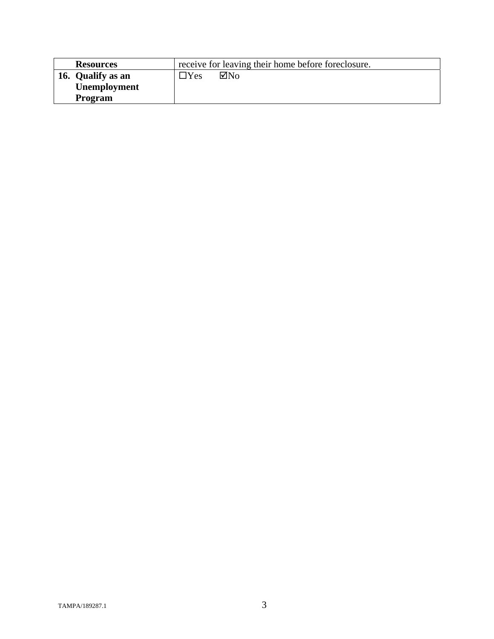| <b>Resources</b>    | receive for leaving their home before foreclosure. |
|---------------------|----------------------------------------------------|
| 16. Qualify as an   | $\boxtimes$ No<br>$\exists$ Yes                    |
| <b>Unemployment</b> |                                                    |
| <b>Program</b>      |                                                    |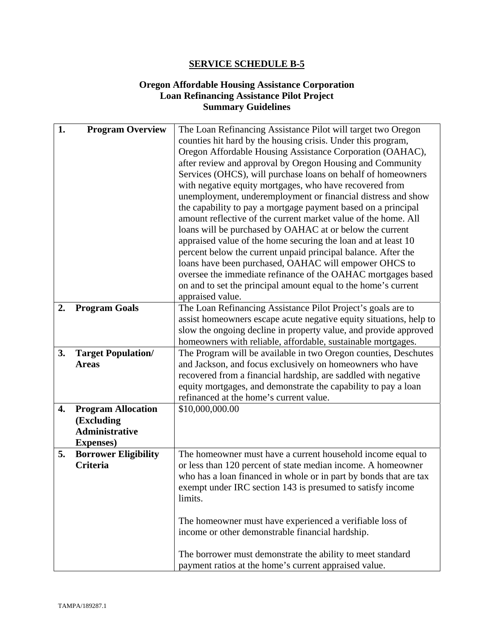## **Oregon Affordable Housing Assistance Corporation Loan Refinancing Assistance Pilot Project Summary Guidelines**

| 1. | <b>Program Overview</b>     | The Loan Refinancing Assistance Pilot will target two Oregon       |
|----|-----------------------------|--------------------------------------------------------------------|
|    |                             | counties hit hard by the housing crisis. Under this program,       |
|    |                             | Oregon Affordable Housing Assistance Corporation (OAHAC),          |
|    |                             | after review and approval by Oregon Housing and Community          |
|    |                             | Services (OHCS), will purchase loans on behalf of homeowners       |
|    |                             | with negative equity mortgages, who have recovered from            |
|    |                             | unemployment, underemployment or financial distress and show       |
|    |                             | the capability to pay a mortgage payment based on a principal      |
|    |                             | amount reflective of the current market value of the home. All     |
|    |                             | loans will be purchased by OAHAC at or below the current           |
|    |                             | appraised value of the home securing the loan and at least 10      |
|    |                             | percent below the current unpaid principal balance. After the      |
|    |                             | loans have been purchased, OAHAC will empower OHCS to              |
|    |                             | oversee the immediate refinance of the OAHAC mortgages based       |
|    |                             | on and to set the principal amount equal to the home's current     |
|    |                             | appraised value.                                                   |
| 2. | <b>Program Goals</b>        | The Loan Refinancing Assistance Pilot Project's goals are to       |
|    |                             | assist homeowners escape acute negative equity situations, help to |
|    |                             | slow the ongoing decline in property value, and provide approved   |
|    |                             | homeowners with reliable, affordable, sustainable mortgages.       |
| 3. | <b>Target Population/</b>   | The Program will be available in two Oregon counties, Deschutes    |
|    | <b>Areas</b>                | and Jackson, and focus exclusively on homeowners who have          |
|    |                             | recovered from a financial hardship, are saddled with negative     |
|    |                             | equity mortgages, and demonstrate the capability to pay a loan     |
|    |                             | refinanced at the home's current value.                            |
| 4. | <b>Program Allocation</b>   | \$10,000,000.00                                                    |
|    | (Excluding                  |                                                                    |
|    | Administrative              |                                                                    |
|    | <b>Expenses</b> )           |                                                                    |
| 5. | <b>Borrower Eligibility</b> | The homeowner must have a current household income equal to        |
|    | <b>Criteria</b>             | or less than 120 percent of state median income. A homeowner       |
|    |                             | who has a loan financed in whole or in part by bonds that are tax  |
|    |                             | exempt under IRC section 143 is presumed to satisfy income         |
|    |                             | limits.                                                            |
|    |                             |                                                                    |
|    |                             | The homeowner must have experienced a verifiable loss of           |
|    |                             | income or other demonstrable financial hardship.                   |
|    |                             | The borrower must demonstrate the ability to meet standard         |
|    |                             |                                                                    |
|    |                             | payment ratios at the home's current appraised value.              |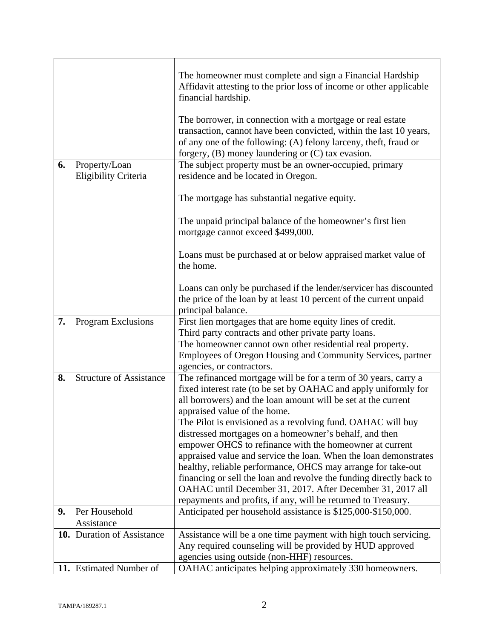|    |                                | The homeowner must complete and sign a Financial Hardship<br>Affidavit attesting to the prior loss of income or other applicable<br>financial hardship.                                                                                                       |
|----|--------------------------------|---------------------------------------------------------------------------------------------------------------------------------------------------------------------------------------------------------------------------------------------------------------|
|    |                                | The borrower, in connection with a mortgage or real estate<br>transaction, cannot have been convicted, within the last 10 years,<br>of any one of the following: (A) felony larceny, theft, fraud or<br>forgery, $(B)$ money laundering or $(C)$ tax evasion. |
| 6. | Property/Loan                  | The subject property must be an owner-occupied, primary                                                                                                                                                                                                       |
|    | Eligibility Criteria           | residence and be located in Oregon.                                                                                                                                                                                                                           |
|    |                                | The mortgage has substantial negative equity.                                                                                                                                                                                                                 |
|    |                                | The unpaid principal balance of the homeowner's first lien<br>mortgage cannot exceed \$499,000.                                                                                                                                                               |
|    |                                | Loans must be purchased at or below appraised market value of<br>the home.                                                                                                                                                                                    |
|    |                                | Loans can only be purchased if the lender/servicer has discounted<br>the price of the loan by at least 10 percent of the current unpaid<br>principal balance.                                                                                                 |
| 7. | Program Exclusions             | First lien mortgages that are home equity lines of credit.                                                                                                                                                                                                    |
|    |                                | Third party contracts and other private party loans.<br>The homeowner cannot own other residential real property.                                                                                                                                             |
|    |                                | Employees of Oregon Housing and Community Services, partner<br>agencies, or contractors.                                                                                                                                                                      |
| 8. | <b>Structure of Assistance</b> | The refinanced mortgage will be for a term of 30 years, carry a                                                                                                                                                                                               |
|    |                                | fixed interest rate (to be set by OAHAC and apply uniformly for                                                                                                                                                                                               |
|    |                                | all borrowers) and the loan amount will be set at the current<br>appraised value of the home.                                                                                                                                                                 |
|    |                                | The Pilot is envisioned as a revolving fund. OAHAC will buy                                                                                                                                                                                                   |
|    |                                | distressed mortgages on a homeowner's behalf, and then                                                                                                                                                                                                        |
|    |                                | empower OHCS to refinance with the homeowner at current                                                                                                                                                                                                       |
|    |                                | appraised value and service the loan. When the loan demonstrates                                                                                                                                                                                              |
|    |                                | healthy, reliable performance, OHCS may arrange for take-out                                                                                                                                                                                                  |
|    |                                | financing or sell the loan and revolve the funding directly back to<br>OAHAC until December 31, 2017. After December 31, 2017 all                                                                                                                             |
|    |                                | repayments and profits, if any, will be returned to Treasury.                                                                                                                                                                                                 |
| 9. | Per Household                  | Anticipated per household assistance is \$125,000-\$150,000.                                                                                                                                                                                                  |
|    | Assistance                     |                                                                                                                                                                                                                                                               |
|    | 10. Duration of Assistance     | Assistance will be a one time payment with high touch servicing.                                                                                                                                                                                              |
|    |                                | Any required counseling will be provided by HUD approved                                                                                                                                                                                                      |
|    | 11. Estimated Number of        | agencies using outside (non-HHF) resources.<br>OAHAC anticipates helping approximately 330 homeowners.                                                                                                                                                        |
|    |                                |                                                                                                                                                                                                                                                               |